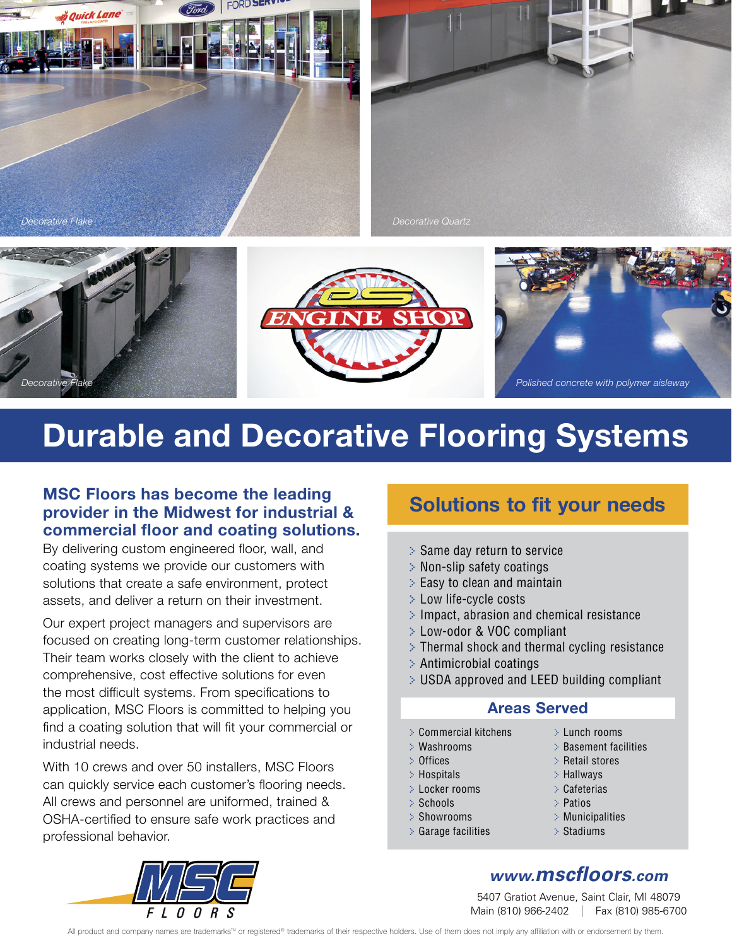





## **Durable and Decorative Flooring Systems**

#### **MSC Floors has become the leading provider in the Midwest for industrial & commercial floor and coating solutions.**

By delivering custom engineered floor, wall, and coating systems we provide our customers with solutions that create a safe environment, protect assets, and deliver a return on their investment.

Our expert project managers and supervisors are focused on creating long-term customer relationships. Their team works closely with the client to achieve comprehensive, cost effective solutions for even the most difficult systems. From specifications to application, MSC Floors is committed to helping you find a coating solution that will fit your commercial or industrial needs.

With 10 crews and over 50 installers, MSC Floors can quickly service each customer's flooring needs. All crews and personnel are uniformed, trained & OSHA-certified to ensure safe work practices and professional behavior.

## **Solutions to fit your needs**

- > Same day return to service
- > Non-slip safety coatings
- > Easy to clean and maintain
- > Low life-cycle costs
- $\geq$  Impact, abrasion and chemical resistance
- > Low-odor & VOC compliant
- $\geq$  Thermal shock and thermal cycling resistance
- > Antimicrobial coatings
- > USDA approved and LEED building compliant

#### **Areas Served**

- > Commercial kitchens
- > Washrooms
- > Offices
- > Hospitals
- > Locker rooms
- > Schools
- > Showrooms
- > Garage facilities
- > Lunch rooms
- > Basement facilities
- > Retail stores
- > Hallways
- > Cafeterias
- > Patios
- > Municipalities
- > Stadiums

## *www.mscfloors.com*

5407 Gratiot Avenue, Saint Clair, MI 48079 Main (810) 966-2402 | Fax (810) 985-6700